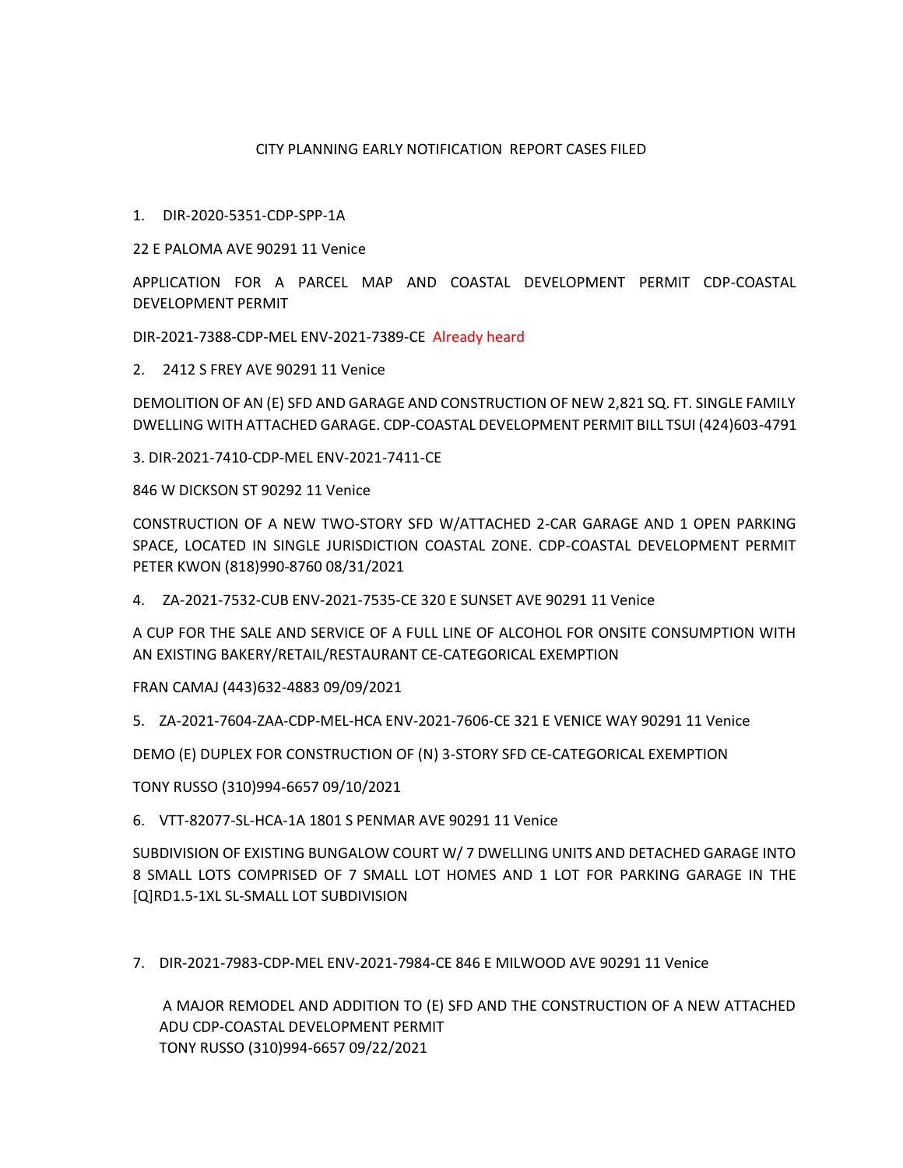## CITY PLANNING EARLY NOTIFICATION REPORT CASES FILED

## 1. DIR-2020-5351-CDP-SPP-1A

22 E PALOMA AVE 90291 11 Venice

APPLICATION FOR A PARCEL MAP AND COASTAL DEVELOPMENT PERMIT CDP-COASTAL DEVELOPMENT PERMIT

DIR-2021-7388-CDP-MEL ENV-2021-7389-CE Already heard

2. 2412 S FREY AVE 90291 11 Venice

DEMOLITION OF AN (E) SFD AND GARAGE AND CONSTRUCTION OF NEW 2,821 SQ. FT. SINGLE FAMILY DWELLING WITH ATTACHED GARAGE. CDP-COASTAL DEVELOPMENT PERMIT BILL TSUI (424)603-4791

3. DIR-2021-7410-CDP-MEL ENV-2021-7411-CE

846 W DICKSON ST 90292 11 Venice

CONSTRUCTION OF A NEW TWO-STORY SFD W/ATTACHED 2-CAR GARAGE AND 1 OPEN PARKING SPACE, LOCATED IN SINGLE JURISDICTION COASTAL ZONE. CDP-COASTAL DEVELOPMENT PERMIT PETER KWON (818)990-8760 08/31/2021

4. ZA-2021-7532-CUB ENV-2021-7535-CE 320 E SUNSET AVE 90291 11 Venice

A CUP FOR THE SALE AND SERVICE OF A FULL LINE OF ALCOHOL FOR ONSITE CONSUMPTION WITH AN EXISTING BAKERY/RETAIL/RESTAURANT CE-CATEGORICAL EXEMPTION

FRAN CAMAJ (443)632-4883 09/09/2021

5. ZA-2021-7604-ZAA-CDP-MEL-HCA ENV-2021-7606-CE 321 E VENICE WAY 90291 11 Venice

DEMO (E) DUPLEX FOR CONSTRUCTION OF (N) 3-STORY SFD CE-CATEGORICAL EXEMPTION

TONY RUSSO (310)994-6657 09/10/2021

6. VTT-82077-SL-HCA-1A 1801 S PENMAR AVE 90291 11 Venice

SUBDIVISION OF EXISTING BUNGALOW COURT W/ 7 DWELLING UNITS AND DETACHED GARAGE INTO 8 SMALL LOTS COMPRISED OF 7 SMALL LOT HOMES AND 1 LOT FOR PARKING GARAGE IN THE [Q]RD1.5-1XL SL-SMALL LOT SUBDIVISION

7. DIR-2021-7983-CDP-MEL ENV-2021-7984-CE 846 E MILWOOD AVE 90291 11 Venice

A MAJOR REMODEL AND ADDITION TO (E) SFD AND THE CONSTRUCTION OF A NEW ATTACHED ADU CDP-COASTAL DEVELOPMENT PERMIT TONY RUSSO (310)994-6657 09/22/2021